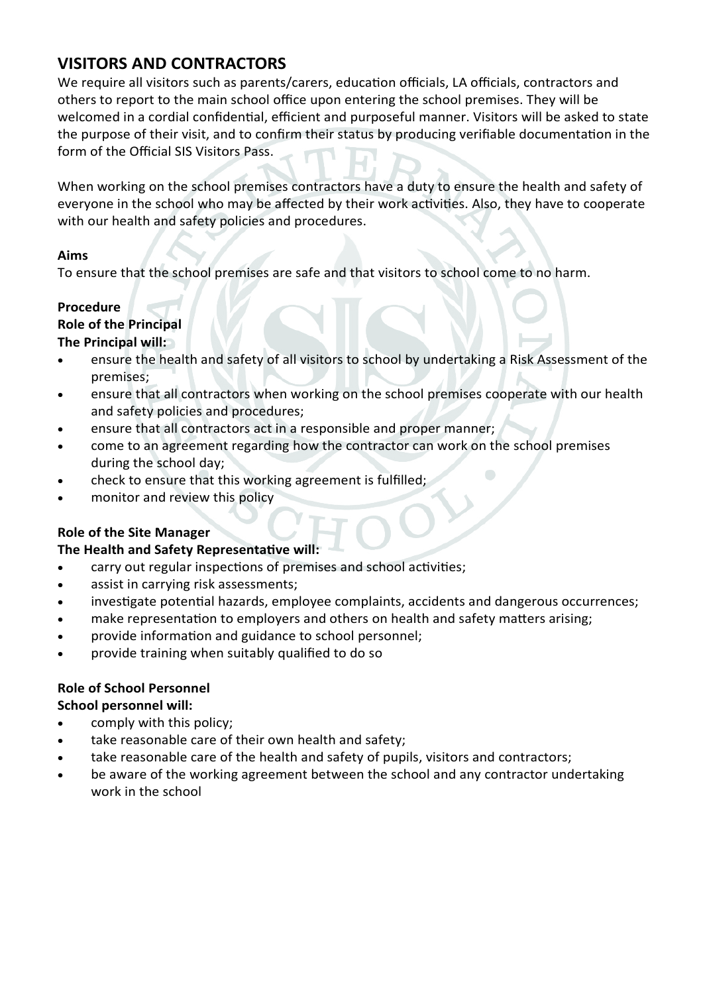# **VISITORS AND CONTRACTORS**

We require all visitors such as parents/carers, education officials, LA officials, contractors and others to report to the main school office upon entering the school premises. They will be welcomed in a cordial confidential, efficient and purposeful manner. Visitors will be asked to state the purpose of their visit, and to confirm their status by producing verifiable documentation in the form of the Official SIS Visitors Pass.

When working on the school premises contractors have a duty to ensure the health and safety of everyone in the school who may be affected by their work activities. Also, they have to cooperate with our health and safety policies and procedures.

### **Aims**

To ensure that the school premises are safe and that visitors to school come to no harm.

# **Procedure**

# **Role of the Principal**

# **The Principal will:**

- ensure the health and safety of all visitors to school by undertaking a Risk Assessment of the premises;
- ensure that all contractors when working on the school premises cooperate with our health and safety policies and procedures;
- ensure that all contractors act in a responsible and proper manner;
- come to an agreement regarding how the contractor can work on the school premises during the school day;
- check to ensure that this working agreement is fulfilled;
- monitor and review this policy

### **Role of the Site Manager**

### **The Health and Safety Representative will:**

- carry out regular inspections of premises and school activities;
- assist in carrying risk assessments;
- investigate potential hazards, employee complaints, accidents and dangerous occurrences;
- make representation to employers and others on health and safety matters arising;
- provide information and guidance to school personnel;
- provide training when suitably qualified to do so

# **Role of School Personnel**

### **School personnel will:**

- comply with this policy;
- take reasonable care of their own health and safety;
- take reasonable care of the health and safety of pupils, visitors and contractors;
- be aware of the working agreement between the school and any contractor undertaking work in the school